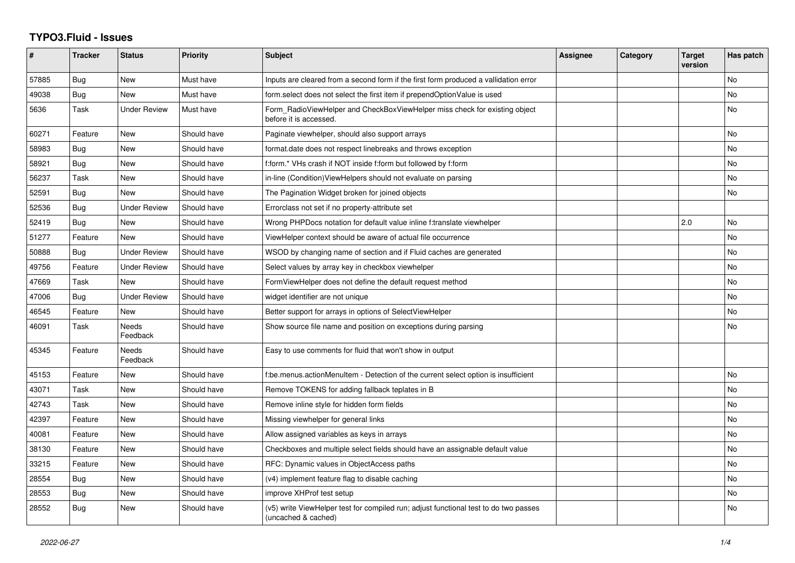## **TYPO3.Fluid - Issues**

| #     | <b>Tracker</b> | <b>Status</b>            | <b>Priority</b> | <b>Subject</b>                                                                                              | <b>Assignee</b> | Category | <b>Target</b><br>version | Has patch |
|-------|----------------|--------------------------|-----------------|-------------------------------------------------------------------------------------------------------------|-----------------|----------|--------------------------|-----------|
| 57885 | Bug            | <b>New</b>               | Must have       | Inputs are cleared from a second form if the first form produced a vallidation error                        |                 |          |                          | No        |
| 49038 | Bug            | New                      | Must have       | form.select does not select the first item if prependOptionValue is used                                    |                 |          |                          | <b>No</b> |
| 5636  | Task           | <b>Under Review</b>      | Must have       | Form_RadioViewHelper and CheckBoxViewHelper miss check for existing object<br>before it is accessed.        |                 |          |                          | <b>No</b> |
| 60271 | Feature        | New                      | Should have     | Paginate viewhelper, should also support arrays                                                             |                 |          |                          | <b>No</b> |
| 58983 | Bug            | New                      | Should have     | format.date does not respect linebreaks and throws exception                                                |                 |          |                          | <b>No</b> |
| 58921 | Bug            | New                      | Should have     | f:form.* VHs crash if NOT inside f:form but followed by f:form                                              |                 |          |                          | <b>No</b> |
| 56237 | Task           | New                      | Should have     | in-line (Condition) View Helpers should not evaluate on parsing                                             |                 |          |                          | No        |
| 52591 | Bug            | <b>New</b>               | Should have     | The Pagination Widget broken for joined objects                                                             |                 |          |                          | <b>No</b> |
| 52536 | Bug            | <b>Under Review</b>      | Should have     | Errorclass not set if no property-attribute set                                                             |                 |          |                          |           |
| 52419 | Bug            | New                      | Should have     | Wrong PHPDocs notation for default value inline f:translate viewhelper                                      |                 |          | 2.0                      | No        |
| 51277 | Feature        | <b>New</b>               | Should have     | ViewHelper context should be aware of actual file occurrence                                                |                 |          |                          | <b>No</b> |
| 50888 | Bug            | <b>Under Review</b>      | Should have     | WSOD by changing name of section and if Fluid caches are generated                                          |                 |          |                          | <b>No</b> |
| 49756 | Feature        | <b>Under Review</b>      | Should have     | Select values by array key in checkbox viewhelper                                                           |                 |          |                          | No        |
| 47669 | Task           | <b>New</b>               | Should have     | FormViewHelper does not define the default request method                                                   |                 |          |                          | <b>No</b> |
| 47006 | Bug            | Under Review             | Should have     | widget identifier are not unique                                                                            |                 |          |                          | <b>No</b> |
| 46545 | Feature        | <b>New</b>               | Should have     | Better support for arrays in options of SelectViewHelper                                                    |                 |          |                          | No        |
| 46091 | Task           | <b>Needs</b><br>Feedback | Should have     | Show source file name and position on exceptions during parsing                                             |                 |          |                          | <b>No</b> |
| 45345 | Feature        | Needs<br>Feedback        | Should have     | Easy to use comments for fluid that won't show in output                                                    |                 |          |                          |           |
| 45153 | Feature        | New                      | Should have     | f:be.menus.actionMenuItem - Detection of the current select option is insufficient                          |                 |          |                          | <b>No</b> |
| 43071 | Task           | New                      | Should have     | Remove TOKENS for adding fallback teplates in B                                                             |                 |          |                          | <b>No</b> |
| 42743 | Task           | New                      | Should have     | Remove inline style for hidden form fields                                                                  |                 |          |                          | No        |
| 42397 | Feature        | New                      | Should have     | Missing viewhelper for general links                                                                        |                 |          |                          | No        |
| 40081 | Feature        | New                      | Should have     | Allow assigned variables as keys in arrays                                                                  |                 |          |                          | No        |
| 38130 | Feature        | New                      | Should have     | Checkboxes and multiple select fields should have an assignable default value                               |                 |          |                          | <b>No</b> |
| 33215 | Feature        | New                      | Should have     | RFC: Dynamic values in ObjectAccess paths                                                                   |                 |          |                          | <b>No</b> |
| 28554 | Bug            | New                      | Should have     | (v4) implement feature flag to disable caching                                                              |                 |          |                          | <b>No</b> |
| 28553 | Bug            | New                      | Should have     | improve XHProf test setup                                                                                   |                 |          |                          | <b>No</b> |
| 28552 | Bug            | New                      | Should have     | (v5) write ViewHelper test for compiled run; adjust functional test to do two passes<br>(uncached & cached) |                 |          |                          | No        |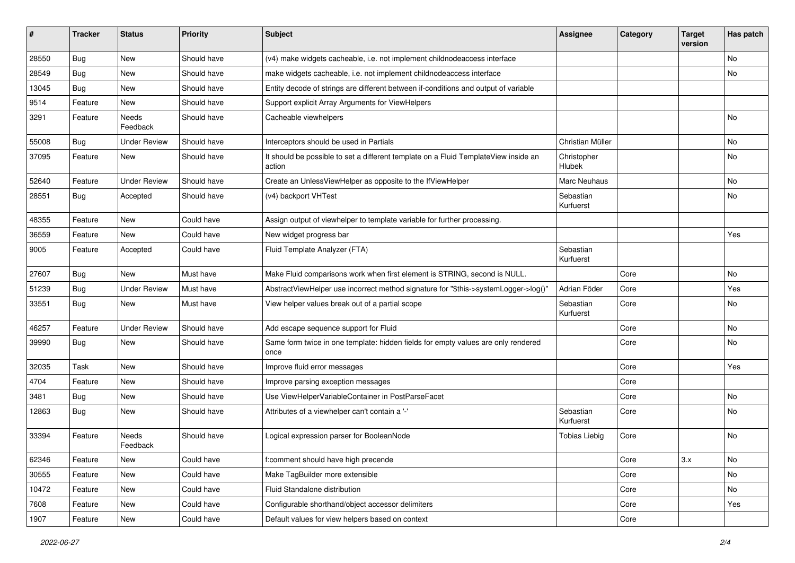| #     | <b>Tracker</b> | <b>Status</b>       | <b>Priority</b> | <b>Subject</b>                                                                                | <b>Assignee</b>        | Category | <b>Target</b><br>version | Has patch |
|-------|----------------|---------------------|-----------------|-----------------------------------------------------------------------------------------------|------------------------|----------|--------------------------|-----------|
| 28550 | Bug            | New                 | Should have     | (v4) make widgets cacheable, i.e. not implement childnodeaccess interface                     |                        |          |                          | No        |
| 28549 | Bug            | New                 | Should have     | make widgets cacheable, i.e. not implement childnodeaccess interface                          |                        |          |                          | No        |
| 13045 | Bug            | New                 | Should have     | Entity decode of strings are different between if-conditions and output of variable           |                        |          |                          |           |
| 9514  | Feature        | New                 | Should have     | Support explicit Array Arguments for ViewHelpers                                              |                        |          |                          |           |
| 3291  | Feature        | Needs<br>Feedback   | Should have     | Cacheable viewhelpers                                                                         |                        |          |                          | No        |
| 55008 | Bug            | <b>Under Review</b> | Should have     | Interceptors should be used in Partials                                                       | Christian Müller       |          |                          | No        |
| 37095 | Feature        | New                 | Should have     | It should be possible to set a different template on a Fluid TemplateView inside an<br>action | Christopher<br>Hlubek  |          |                          | No        |
| 52640 | Feature        | <b>Under Review</b> | Should have     | Create an UnlessViewHelper as opposite to the IfViewHelper                                    | Marc Neuhaus           |          |                          | No        |
| 28551 | Bug            | Accepted            | Should have     | (v4) backport VHTest                                                                          | Sebastian<br>Kurfuerst |          |                          | No        |
| 48355 | Feature        | New                 | Could have      | Assign output of viewhelper to template variable for further processing.                      |                        |          |                          |           |
| 36559 | Feature        | <b>New</b>          | Could have      | New widget progress bar                                                                       |                        |          |                          | Yes       |
| 9005  | Feature        | Accepted            | Could have      | Fluid Template Analyzer (FTA)                                                                 | Sebastian<br>Kurfuerst |          |                          |           |
| 27607 | <b>Bug</b>     | New                 | Must have       | Make Fluid comparisons work when first element is STRING, second is NULL.                     |                        | Core     |                          | No        |
| 51239 | Bug            | <b>Under Review</b> | Must have       | AbstractViewHelper use incorrect method signature for "\$this->systemLogger->log()"           | Adrian Föder           | Core     |                          | Yes       |
| 33551 | Bug            | New                 | Must have       | View helper values break out of a partial scope                                               | Sebastian<br>Kurfuerst | Core     |                          | No        |
| 46257 | Feature        | <b>Under Review</b> | Should have     | Add escape sequence support for Fluid                                                         |                        | Core     |                          | No        |
| 39990 | Bug            | New                 | Should have     | Same form twice in one template: hidden fields for empty values are only rendered<br>once     |                        | Core     |                          | No        |
| 32035 | Task           | New                 | Should have     | Improve fluid error messages                                                                  |                        | Core     |                          | Yes       |
| 4704  | Feature        | New                 | Should have     | Improve parsing exception messages                                                            |                        | Core     |                          |           |
| 3481  | Bug            | New                 | Should have     | Use ViewHelperVariableContainer in PostParseFacet                                             |                        | Core     |                          | No        |
| 12863 | Bug            | New                 | Should have     | Attributes of a viewhelper can't contain a '-'                                                | Sebastian<br>Kurfuerst | Core     |                          | No        |
| 33394 | Feature        | Needs<br>Feedback   | Should have     | Logical expression parser for BooleanNode                                                     | <b>Tobias Liebig</b>   | Core     |                          | No        |
| 62346 | Feature        | New                 | Could have      | f:comment should have high precende                                                           |                        | Core     | 3.x                      | No        |
| 30555 | Feature        | New                 | Could have      | Make TagBuilder more extensible                                                               |                        | Core     |                          | No        |
| 10472 | Feature        | New                 | Could have      | Fluid Standalone distribution                                                                 |                        | Core     |                          | No        |
| 7608  | Feature        | New                 | Could have      | Configurable shorthand/object accessor delimiters                                             |                        | Core     |                          | Yes       |
| 1907  | Feature        | New                 | Could have      | Default values for view helpers based on context                                              |                        | Core     |                          |           |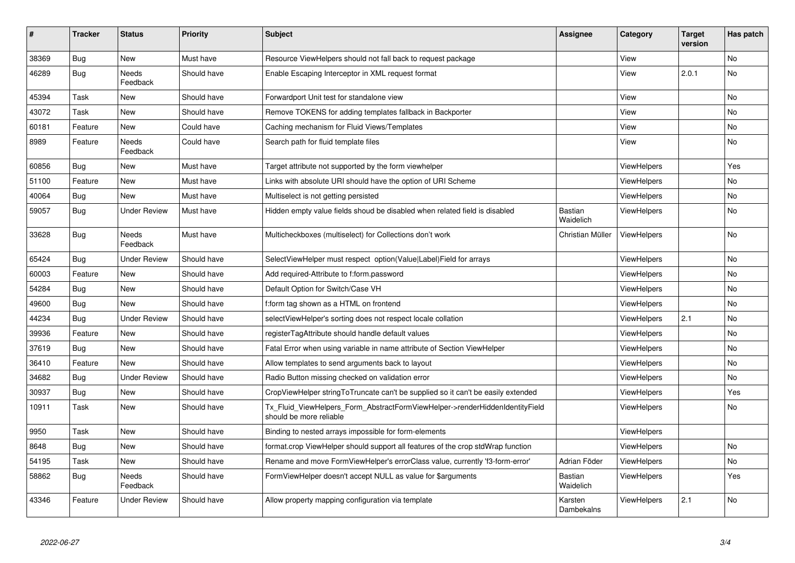| $\vert$ # | <b>Tracker</b> | <b>Status</b>       | <b>Priority</b> | <b>Subject</b>                                                                                         | <b>Assignee</b>             | Category           | Target<br>version | Has patch      |
|-----------|----------------|---------------------|-----------------|--------------------------------------------------------------------------------------------------------|-----------------------------|--------------------|-------------------|----------------|
| 38369     | <b>Bug</b>     | New                 | Must have       | Resource ViewHelpers should not fall back to request package                                           |                             | View               |                   | <b>No</b>      |
| 46289     | Bug            | Needs<br>Feedback   | Should have     | Enable Escaping Interceptor in XML request format                                                      |                             | View               | 2.0.1             | No             |
| 45394     | Task           | New                 | Should have     | Forwardport Unit test for standalone view                                                              |                             | View               |                   | <b>No</b>      |
| 43072     | Task           | New                 | Should have     | Remove TOKENS for adding templates fallback in Backporter                                              |                             | View               |                   | N <sub>o</sub> |
| 60181     | Feature        | New                 | Could have      | Caching mechanism for Fluid Views/Templates                                                            |                             | View               |                   | No             |
| 8989      | Feature        | Needs<br>Feedback   | Could have      | Search path for fluid template files                                                                   |                             | View               |                   | No             |
| 60856     | <b>Bug</b>     | New                 | Must have       | Target attribute not supported by the form viewhelper                                                  |                             | <b>ViewHelpers</b> |                   | Yes            |
| 51100     | Feature        | <b>New</b>          | Must have       | Links with absolute URI should have the option of URI Scheme                                           |                             | ViewHelpers        |                   | <b>No</b>      |
| 40064     | Bug            | New                 | Must have       | Multiselect is not getting persisted                                                                   |                             | ViewHelpers        |                   | No             |
| 59057     | Bug            | Under Review        | Must have       | Hidden empty value fields shoud be disabled when related field is disabled                             | <b>Bastian</b><br>Waidelich | <b>ViewHelpers</b> |                   | <b>No</b>      |
| 33628     | Bug            | Needs<br>Feedback   | Must have       | Multicheckboxes (multiselect) for Collections don't work                                               | Christian Müller            | <b>ViewHelpers</b> |                   | No             |
| 65424     | Bug            | <b>Under Review</b> | Should have     | SelectViewHelper must respect option(Value Label)Field for arrays                                      |                             | <b>ViewHelpers</b> |                   | <b>No</b>      |
| 60003     | Feature        | <b>New</b>          | Should have     | Add required-Attribute to f:form.password                                                              |                             | <b>ViewHelpers</b> |                   | <b>No</b>      |
| 54284     | Bug            | New                 | Should have     | Default Option for Switch/Case VH                                                                      |                             | <b>ViewHelpers</b> |                   | <b>No</b>      |
| 49600     | <b>Bug</b>     | <b>New</b>          | Should have     | f:form tag shown as a HTML on frontend                                                                 |                             | <b>ViewHelpers</b> |                   | <b>No</b>      |
| 44234     | Bug            | <b>Under Review</b> | Should have     | selectViewHelper's sorting does not respect locale collation                                           |                             | <b>ViewHelpers</b> | 2.1               | No             |
| 39936     | Feature        | <b>New</b>          | Should have     | registerTagAttribute should handle default values                                                      |                             | <b>ViewHelpers</b> |                   | <b>No</b>      |
| 37619     | Bug            | New                 | Should have     | Fatal Error when using variable in name attribute of Section ViewHelper                                |                             | <b>ViewHelpers</b> |                   | <b>No</b>      |
| 36410     | Feature        | New                 | Should have     | Allow templates to send arguments back to layout                                                       |                             | ViewHelpers        |                   | <b>No</b>      |
| 34682     | Bug            | Under Review        | Should have     | Radio Button missing checked on validation error                                                       |                             | ViewHelpers        |                   | <b>No</b>      |
| 30937     | Bug            | New                 | Should have     | CropViewHelper stringToTruncate can't be supplied so it can't be easily extended                       |                             | ViewHelpers        |                   | Yes            |
| 10911     | Task           | New                 | Should have     | Tx_Fluid_ViewHelpers_Form_AbstractFormViewHelper->renderHiddenIdentityField<br>should be more reliable |                             | ViewHelpers        |                   | No             |
| 9950      | Task           | New                 | Should have     | Binding to nested arrays impossible for form-elements                                                  |                             | ViewHelpers        |                   |                |
| 8648      | Bug            | New                 | Should have     | format.crop ViewHelper should support all features of the crop stdWrap function                        |                             | <b>ViewHelpers</b> |                   | <b>No</b>      |
| 54195     | Task           | New                 | Should have     | Rename and move FormViewHelper's errorClass value, currently 'f3-form-error'                           | Adrian Föder                | <b>ViewHelpers</b> |                   | No             |
| 58862     | Bug            | Needs<br>Feedback   | Should have     | FormViewHelper doesn't accept NULL as value for \$arguments                                            | Bastian<br>Waidelich        | <b>ViewHelpers</b> |                   | Yes            |
| 43346     | Feature        | <b>Under Review</b> | Should have     | Allow property mapping configuration via template                                                      | Karsten<br>Dambekalns       | <b>ViewHelpers</b> | 2.1               | <b>No</b>      |